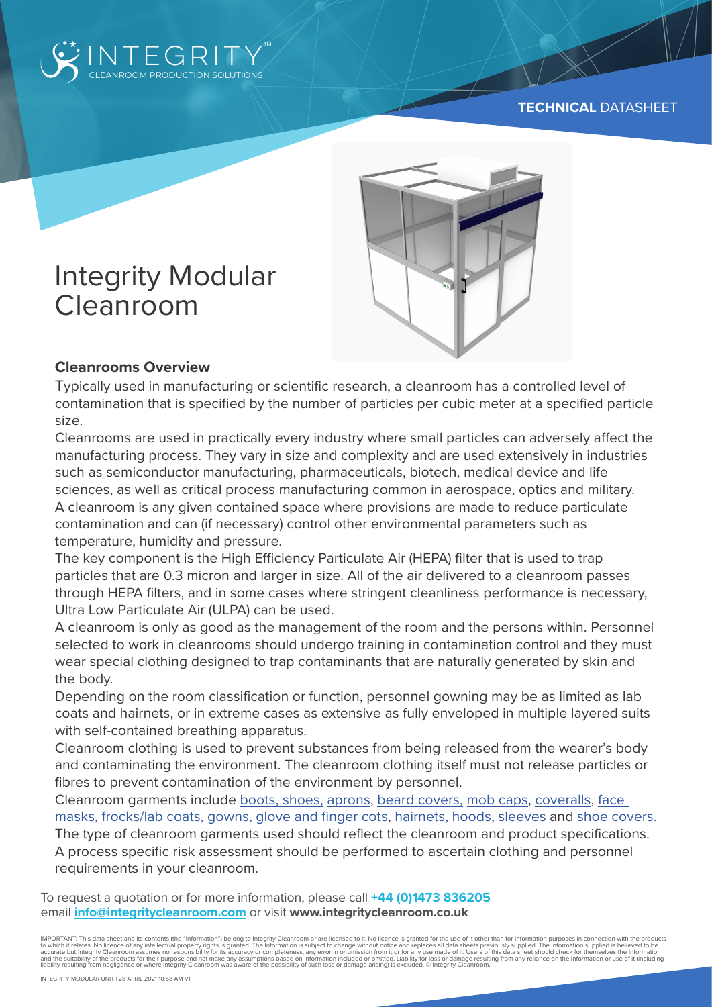



# Integrity Modular Cleanroom

# **Cleanrooms Overview**

Typically used in manufacturing or scientific research, a cleanroom has a controlled level of contamination that is specified by the number of particles per cubic meter at a specified particle size.

Cleanrooms are used in practically every industry where small particles can adversely affect the manufacturing process. They vary in size and complexity and are used extensively in industries such as semiconductor manufacturing, pharmaceuticals, biotech, medical device and life sciences, as well as critical process manufacturing common in aerospace, optics and military. A cleanroom is any given contained space where provisions are made to reduce particulate contamination and can (if necessary) control other environmental parameters such as temperature, humidity and pressure.

The key component is the High Efficiency Particulate Air (HEPA) filter that is used to trap particles that are 0.3 micron and larger in size. All of the air delivered to a cleanroom passes through HEPA filters, and in some cases where stringent cleanliness performance is necessary, Ultra Low Particulate Air (ULPA) can be used.

A cleanroom is only as good as the management of the room and the persons within. Personnel selected to work in cleanrooms should undergo training in contamination control and they must wear special clothing designed to trap contaminants that are naturally generated by skin and the body.

Depending on the room classification or function, personnel gowning may be as limited as lab coats and hairnets, or in extreme cases as extensive as fully enveloped in multiple layered suits with self-contained breathing apparatus.

Cleanroom clothing is used to prevent substances from being released from the wearer's body and contaminating the environment. The cleanroom clothing itself must not release particles or fibres to prevent contamination of the environment by personnel.

Cleanroom garments include boots, shoes, aprons, beard covers, mob caps, coveralls, face masks, frocks/lab coats, gowns, glove and finger cots, hairnets, hoods, sleeves and shoe covers. The type of cleanroom garments used should reflect the cleanroom and product specifications. A process specific risk assessment should be performed to ascertain clothing and personnel

requirements in your cleanroom.

To request a quotation or for more information, please call **+44 (0)1473 836205** email **info@integritycleanroom.com** or visit **www.integritycleanroom.co.uk**

IMPORTANT: This data sheet and its contents (the "Information") belong to Integrity Cleanroom or are licensed to it. No licence is granted for the use of it other than for information purposes in connection with the products to which it relates. No licence of any intellectual property rights is granted. The Information is subject to change without notice and replaces all data sheets previously supplied. The Information supplied is believed to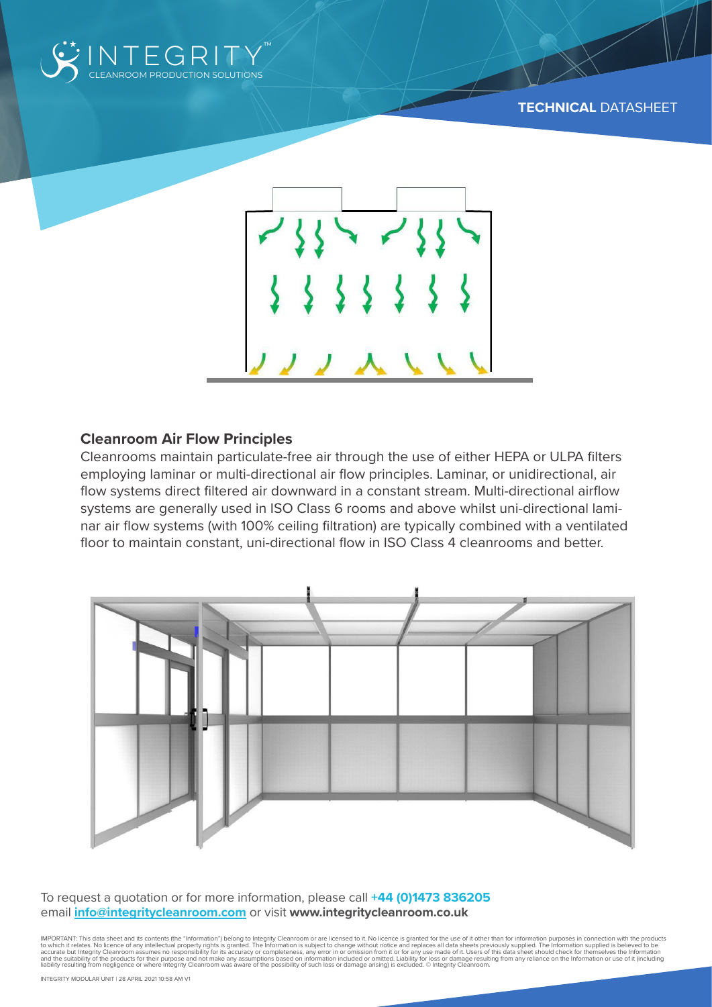



#### **Cleanroom Air Flow Principles**

Cleanrooms maintain particulate-free air through the use of either HEPA or ULPA filters employing laminar or multi-directional air flow principles. Laminar, or unidirectional, air flow systems direct filtered air downward in a constant stream. Multi-directional airflow systems are generally used in ISO Class 6 rooms and above whilst uni-directional laminar air flow systems (with 100% ceiling filtration) are typically combined with a ventilated floor to maintain constant, uni-directional flow in ISO Class 4 cleanrooms and better.



To request a quotation or for more information, please call **+44 (0)1473 836205** email **info@integritycleanroom.com** or visit **www.integritycleanroom.co.uk**

IMPORTANT: This data sheet and its contents (the "Information") belong to Integrity Cleanroom or are licensed to it. No licence is granted for the use of it other than for information purposes in connection with the products to which it relates. No licence of any intellectual property rights is granted. The Information is subject to change without notice and replaces all data sheets previously supplied. The Information supplied is believed to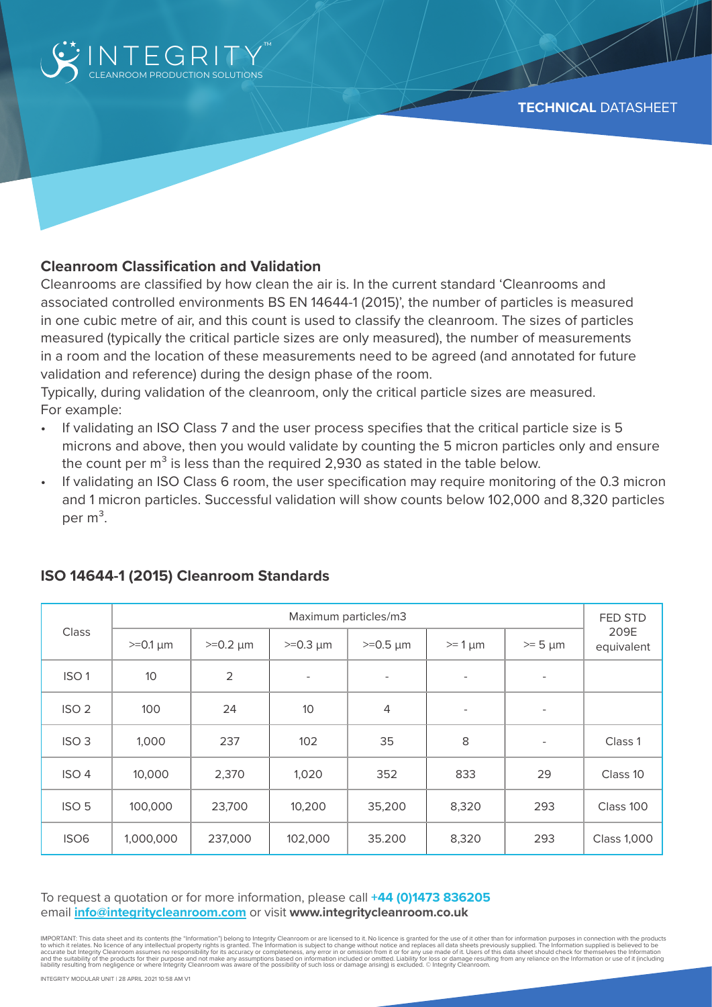

## **Cleanroom Classification and Validation**

Cleanrooms are classified by how clean the air is. In the current standard 'Cleanrooms and associated controlled environments BS EN 14644-1 (2015)', the number of particles is measured in one cubic metre of air, and this count is used to classify the cleanroom. The sizes of particles measured (typically the critical particle sizes are only measured), the number of measurements in a room and the location of these measurements need to be agreed (and annotated for future validation and reference) during the design phase of the room.

Typically, during validation of the cleanroom, only the critical particle sizes are measured. For example:

- If validating an ISO Class 7 and the user process specifies that the critical particle size is 5 microns and above, then you would validate by counting the 5 micron particles only and ensure the count per  $m<sup>3</sup>$  is less than the required 2,930 as stated in the table below.
- If validating an ISO Class 6 room, the user specification may require monitoring of the 0.3 micron and 1 micron particles. Successful validation will show counts below 102,000 and 8,320 particles per  $m^3$ .

| <b>Class</b>     | Maximum particles/m3 |                |                          |                          |                          |                          | FED STD            |
|------------------|----------------------|----------------|--------------------------|--------------------------|--------------------------|--------------------------|--------------------|
|                  | $>=0.1 \mu m$        | $>=0.2 \mu m$  | $>=0.3 \mu m$            | $>=0.5 \mu m$            | $>= 1 \mu m$             | $>= 5 \mu m$             | 209E<br>equivalent |
| ISO <sub>1</sub> | 10                   | $\overline{2}$ | $\overline{\phantom{a}}$ | $\overline{\phantom{a}}$ | $\overline{\phantom{0}}$ | $\overline{\phantom{a}}$ |                    |
| ISO <sub>2</sub> | 100                  | 24             | 10                       | $\overline{4}$           | $\overline{\phantom{a}}$ | $\overline{\phantom{a}}$ |                    |
| ISO <sub>3</sub> | 1,000                | 237            | 102                      | 35                       | 8                        | $\overline{\phantom{a}}$ | Class 1            |
| ISO <sub>4</sub> | 10,000               | 2,370          | 1,020                    | 352                      | 833                      | 29                       | Class 10           |
| ISO <sub>5</sub> | 100,000              | 23,700         | 10,200                   | 35,200                   | 8,320                    | 293                      | Class 100          |
| ISO <sub>6</sub> | 1,000,000            | 237,000        | 102,000                  | 35.200                   | 8,320                    | 293                      | <b>Class 1,000</b> |

#### **ISO 14644-1 (2015) Cleanroom Standards**

To request a quotation or for more information, please call **+44 (0)1473 836205** email **info@integritycleanroom.com** or visit **www.integritycleanroom.co.uk**

IMPORTANT. This data sheet and its contents (the "Information") belong to integrity Cleance of any intellectual property rights is granted. The information is subject to change without notice and replaces all data sheets p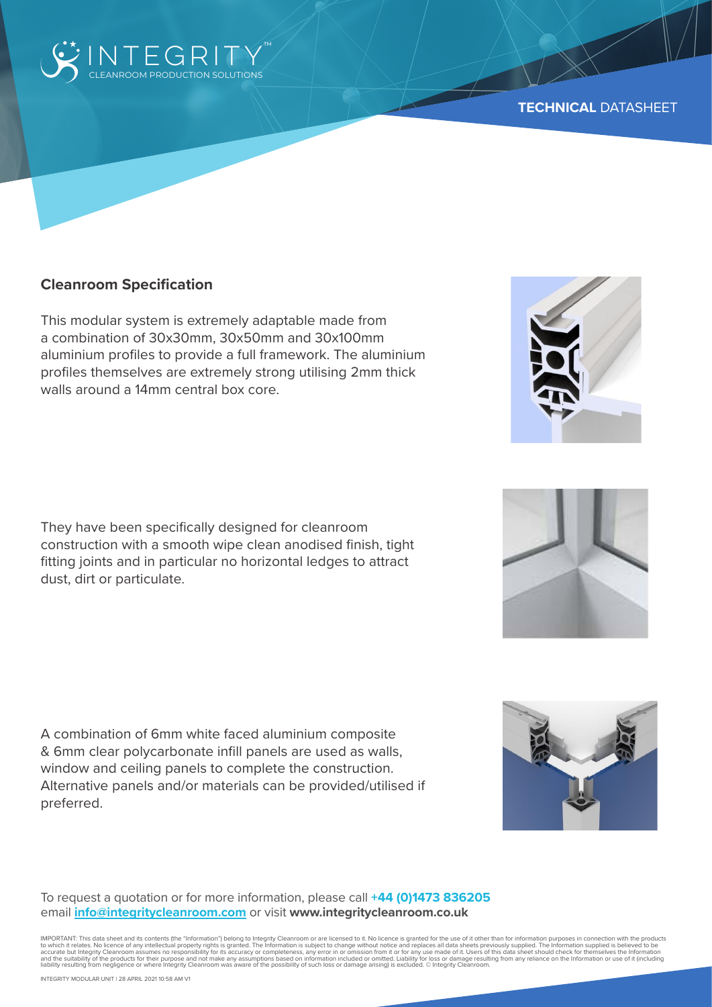

#### **Cleanroom Specification**

This modular system is extremely adaptable made from a combination of 30x30mm, 30x50mm and 30x100mm aluminium profiles to provide a full framework. The aluminium profiles themselves are extremely strong utilising 2mm thick walls around a 14mm central box core.

They have been specifically designed for cleanroom construction with a smooth wipe clean anodised finish, tight fitting joints and in particular no horizontal ledges to attract dust, dirt or particulate.

A combination of 6mm white faced aluminium composite & 6mm clear polycarbonate infill panels are used as walls, window and ceiling panels to complete the construction. Alternative panels and/or materials can be provided/utilised if preferred.

To request a quotation or for more information, please call **+44 (0)1473 836205** email **info@integritycleanroom.com** or visit **www.integritycleanroom.co.uk**

IMPORTANT: This data sheet and its contents (the "Information") belong to Integrity Cleanroom or are licensed to it. No licence is granted for the use of it other than for information purposes in connection with the products to which it relates. No licence of any intellectual property rights is granted. The Information is subject to change without notice and replaces all data sheets previously supplied. The Information supplied is believed to





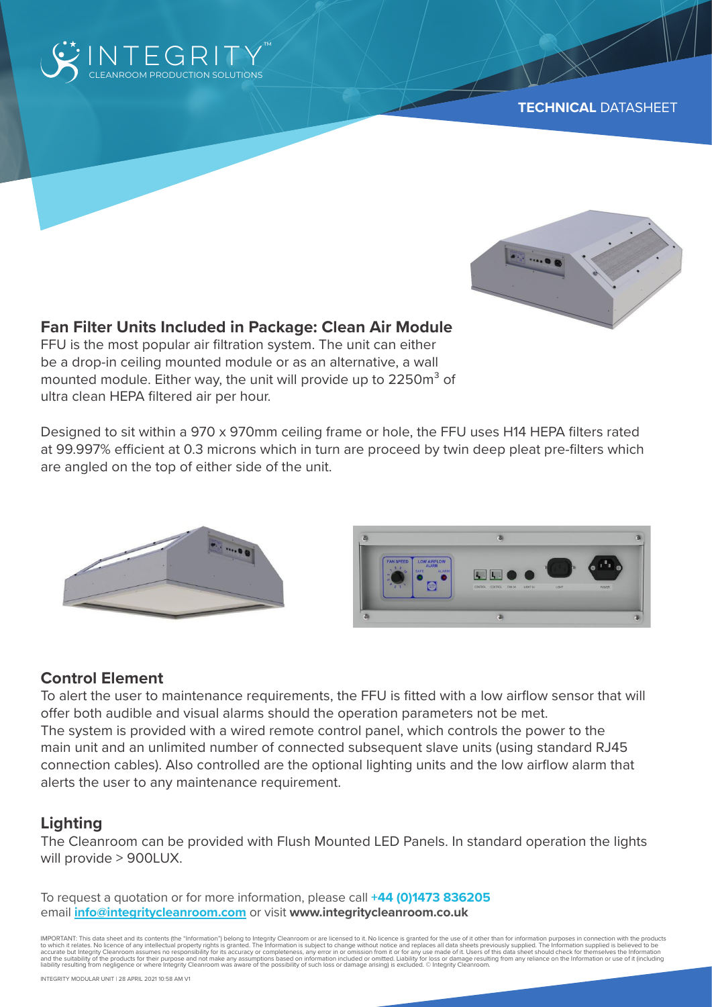



# **Fan Filter Units Included in Package: Clean Air Module**

FFU is the most popular air filtration system. The unit can either be a drop-in ceiling mounted module or as an alternative, a wall mounted module. Either way, the unit will provide up to 2250m<sup>3</sup> of ultra clean HEPA filtered air per hour.

Designed to sit within a 970 x 970mm ceiling frame or hole, the FFU uses H14 HEPA filters rated at 99.997% efficient at 0.3 microns which in turn are proceed by twin deep pleat pre-filters which are angled on the top of either side of the unit.





# **Control Element**

To alert the user to maintenance requirements, the FFU is fitted with a low airflow sensor that will offer both audible and visual alarms should the operation parameters not be met. The system is provided with a wired remote control panel, which controls the power to the main unit and an unlimited number of connected subsequent slave units (using standard RJ45 connection cables). Also controlled are the optional lighting units and the low airflow alarm that alerts the user to any maintenance requirement.

# **Lighting**

The Cleanroom can be provided with Flush Mounted LED Panels. In standard operation the lights will provide > 900LUX.

To request a quotation or for more information, please call **+44 (0)1473 836205** email **info@integritycleanroom.com** or visit **www.integritycleanroom.co.uk**

IMPORTANT. This data sheet and its contents (the "Information") belong to integrity Cleance of any intellectual property rights is granted. The information is subject to change without notice and replaces all data sheets p